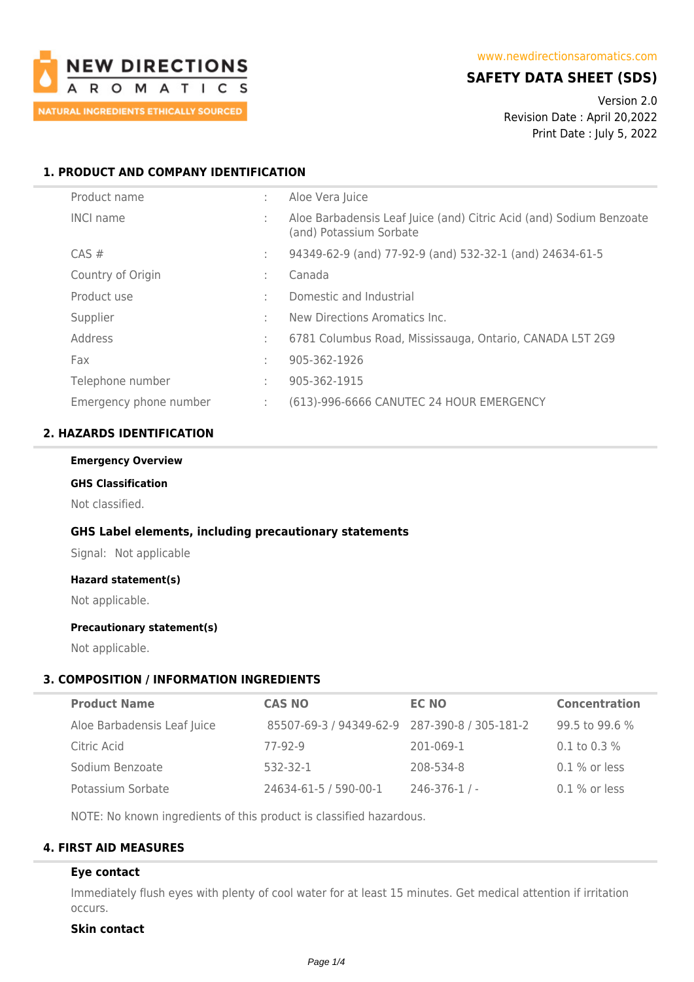

# **SAFETY DATA SHEET (SDS)**

Version 2.0 Revision Date : April 20,2022 Print Date : July 5, 2022

# **1. PRODUCT AND COMPANY IDENTIFICATION**

| Product name           | ÷  | Aloe Vera Juice                                                                                |
|------------------------|----|------------------------------------------------------------------------------------------------|
| <b>INCI name</b>       | ÷  | Aloe Barbadensis Leaf Juice (and) Citric Acid (and) Sodium Benzoate<br>(and) Potassium Sorbate |
| $CAS \#$               | ÷. | 94349-62-9 (and) 77-92-9 (and) 532-32-1 (and) 24634-61-5                                       |
| Country of Origin      | ÷  | Canada                                                                                         |
| Product use            | ÷  | Domestic and Industrial                                                                        |
| Supplier               | ÷  | New Directions Aromatics Inc.                                                                  |
| Address                | ÷  | 6781 Columbus Road, Mississauga, Ontario, CANADA L5T 2G9                                       |
| Fax                    | ÷  | 905-362-1926                                                                                   |
| Telephone number       | ÷  | 905-362-1915                                                                                   |
| Emergency phone number | ÷. | (613)-996-6666 CANUTEC 24 HOUR EMERGENCY                                                       |

## **2. HAZARDS IDENTIFICATION**

#### **Emergency Overview**

## **GHS Classification**

Not classified.

## **GHS Label elements, including precautionary statements**

Signal: Not applicable

# **Hazard statement(s)**

Not applicable.

## **Precautionary statement(s)**

Not applicable.

## **3. COMPOSITION / INFORMATION INGREDIENTS**

| <b>Product Name</b>         | <b>CAS NO</b>                                 | <b>EC NO</b>     | <b>Concentration</b> |
|-----------------------------|-----------------------------------------------|------------------|----------------------|
| Aloe Barbadensis Leaf Juice | 85507-69-3 / 94349-62-9 287-390-8 / 305-181-2 |                  | 99.5 to 99.6 %       |
| Citric Acid                 | 77-92-9                                       | 201-069-1        | $0.1$ to $0.3\%$     |
| Sodium Benzoate             | 532-32-1                                      | 208-534-8        | $0.1$ % or less      |
| Potassium Sorbate           | 24634-61-5 / 590-00-1                         | $246 - 376 - 1/$ | $0.1\%$ or less      |

NOTE: No known ingredients of this product is classified hazardous.

# **4. FIRST AID MEASURES**

## **Eye contact**

Immediately flush eyes with plenty of cool water for at least 15 minutes. Get medical attention if irritation occurs.

# **Skin contact**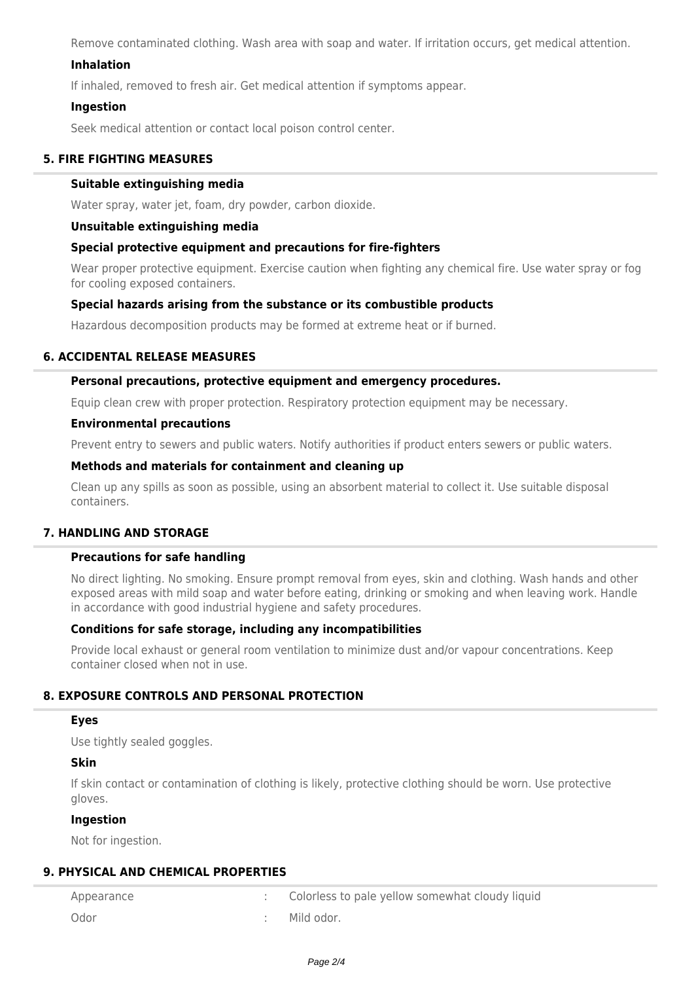Remove contaminated clothing. Wash area with soap and water. If irritation occurs, get medical attention.

## **Inhalation**

If inhaled, removed to fresh air. Get medical attention if symptoms appear.

## **Ingestion**

Seek medical attention or contact local poison control center.

# **5. FIRE FIGHTING MEASURES**

### **Suitable extinguishing media**

Water spray, water jet, foam, dry powder, carbon dioxide.

### **Unsuitable extinguishing media**

## **Special protective equipment and precautions for fire-fighters**

Wear proper protective equipment. Exercise caution when fighting any chemical fire. Use water spray or fog for cooling exposed containers.

## **Special hazards arising from the substance or its combustible products**

Hazardous decomposition products may be formed at extreme heat or if burned.

## **6. ACCIDENTAL RELEASE MEASURES**

### **Personal precautions, protective equipment and emergency procedures.**

Equip clean crew with proper protection. Respiratory protection equipment may be necessary.

#### **Environmental precautions**

Prevent entry to sewers and public waters. Notify authorities if product enters sewers or public waters.

## **Methods and materials for containment and cleaning up**

Clean up any spills as soon as possible, using an absorbent material to collect it. Use suitable disposal containers.

# **7. HANDLING AND STORAGE**

# **Precautions for safe handling**

No direct lighting. No smoking. Ensure prompt removal from eyes, skin and clothing. Wash hands and other exposed areas with mild soap and water before eating, drinking or smoking and when leaving work. Handle in accordance with good industrial hygiene and safety procedures.

## **Conditions for safe storage, including any incompatibilities**

Provide local exhaust or general room ventilation to minimize dust and/or vapour concentrations. Keep container closed when not in use.

## **8. EXPOSURE CONTROLS AND PERSONAL PROTECTION**

### **Eyes**

Use tightly sealed goggles.

### **Skin**

If skin contact or contamination of clothing is likely, protective clothing should be worn. Use protective gloves.

#### **Ingestion**

Not for ingestion.

## **9. PHYSICAL AND CHEMICAL PROPERTIES**

| Appearance | Colorless to pale yellow somewhat cloudy liquid |
|------------|-------------------------------------------------|
| Odor       | Mild odor.                                      |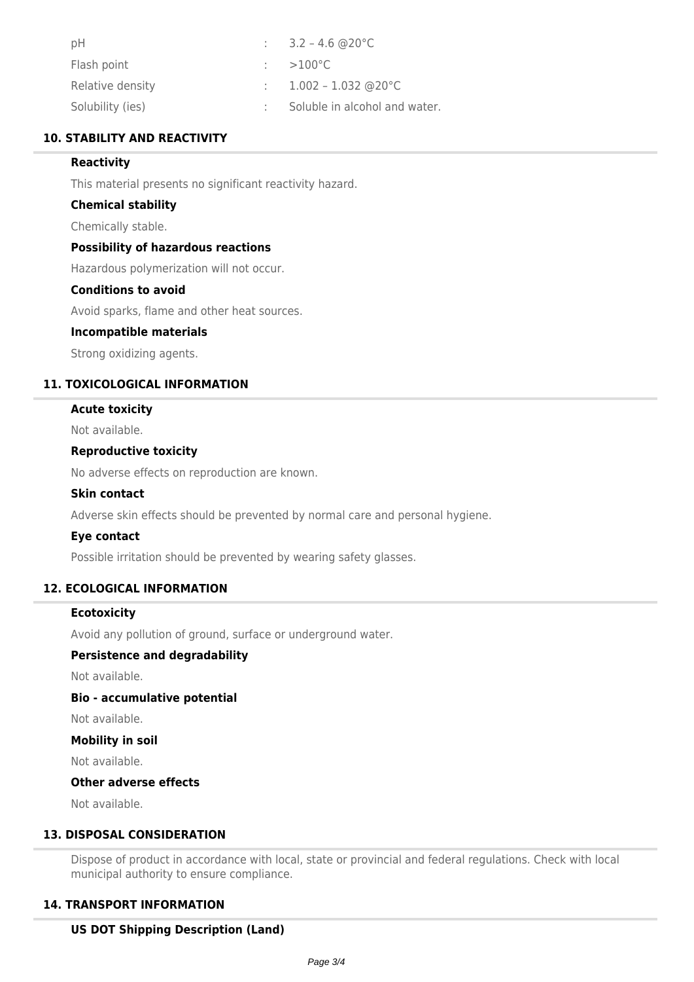| pH               | : $3.2 - 4.6$ @ 20 °C         |
|------------------|-------------------------------|
| Flash point      | $\therefore$ >100 °C          |
| Relative density | : $1.002 - 1.032$ @ 20 °C     |
| Solubility (ies) | Soluble in alcohol and water. |

## **10. STABILITY AND REACTIVITY**

## **Reactivity**

This material presents no significant reactivity hazard.

### **Chemical stability**

Chemically stable.

### **Possibility of hazardous reactions**

Hazardous polymerization will not occur.

# **Conditions to avoid**

Avoid sparks, flame and other heat sources.

### **Incompatible materials**

Strong oxidizing agents.

## **11. TOXICOLOGICAL INFORMATION**

## **Acute toxicity**

Not available.

### **Reproductive toxicity**

No adverse effects on reproduction are known.

#### **Skin contact**

Adverse skin effects should be prevented by normal care and personal hygiene.

## **Eye contact**

Possible irritation should be prevented by wearing safety glasses.

## **12. ECOLOGICAL INFORMATION**

### **Ecotoxicity**

Avoid any pollution of ground, surface or underground water.

#### **Persistence and degradability**

Not available.

## **Bio - accumulative potential**

Not available.

# **Mobility in soil**

Not available.

#### **Other adverse effects**

Not available.

# **13. DISPOSAL CONSIDERATION**

Dispose of product in accordance with local, state or provincial and federal regulations. Check with local municipal authority to ensure compliance.

## **14. TRANSPORT INFORMATION**

## **US DOT Shipping Description (Land)**